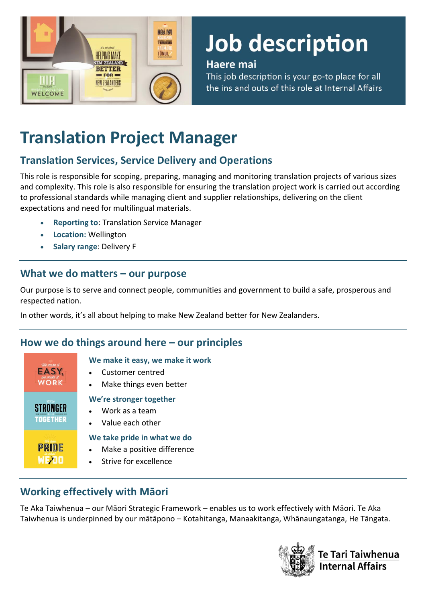

# Job description

#### Haere mai

This job description is your go-to place for all the ins and outs of this role at Internal Affairs

# **Translation Project Manager**

# **Translation Services, Service Delivery and Operations**

This role is responsible for scoping, preparing, managing and monitoring translation projects of various sizes and complexity. This role is also responsible for ensuring the translation project work is carried out according to professional standards while managing client and supplier relationships, delivering on the client expectations and need for multilingual materials.

- **Reporting to**: Translation Service Manager
- **Location:** Wellington
- **Salary range**: Delivery F

#### **What we do matters – our purpose**

Our purpose is to serve and connect people, communities and government to build a safe, prosperous and respected nation.

In other words, it's all about helping to make New Zealand better for New Zealanders.

### **How we do things around here – our principles**

| We make it<br><b>WORK</b> | We make it easy, we make it work<br>Customer centred<br>Make things even better      |
|---------------------------|--------------------------------------------------------------------------------------|
| We're<br><b>TOGETHER</b>  | We're stronger together<br>Work as a team<br>Value each other                        |
| PRIDE                     | We take pride in what we do<br>Make a positive difference<br>• Strive for excellence |

# **Working effectively with Māori**

Te Aka Taiwhenua – our Māori Strategic Framework – enables us to work effectively with Māori. Te Aka Taiwhenua is underpinned by our mātāpono – Kotahitanga, Manaakitanga, Whānaungatanga, He Tāngata.

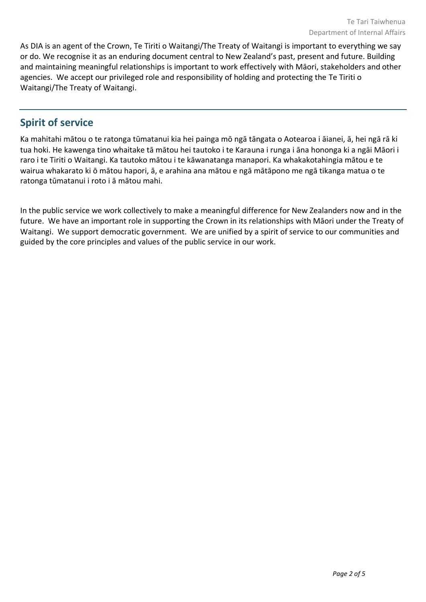As DIA is an agent of the Crown, Te Tiriti o Waitangi/The Treaty of Waitangi is important to everything we say or do. We recognise it as an enduring document central to New Zealand's past, present and future. Building and maintaining meaningful relationships is important to work effectively with Māori, stakeholders and other agencies. We accept our privileged role and responsibility of holding and protecting the Te Tiriti o Waitangi/The Treaty of Waitangi.

#### **Spirit of service**

Ka mahitahi mātou o te ratonga tūmatanui kia hei painga mō ngā tāngata o Aotearoa i āianei, ā, hei ngā rā ki tua hoki. He kawenga tino whaitake tā mātou hei tautoko i te Karauna i runga i āna hononga ki a ngāi Māori i raro i te Tiriti o Waitangi. Ka tautoko mātou i te kāwanatanga manapori. Ka whakakotahingia mātou e te wairua whakarato ki ō mātou hapori, ā, e arahina ana mātou e ngā mātāpono me ngā tikanga matua o te ratonga tūmatanui i roto i ā mātou mahi.

In the public service we work collectively to make a meaningful difference for New Zealanders now and in the future. We have an important role in supporting the Crown in its relationships with Māori under the Treaty of Waitangi.  We support democratic government. We are unified by a spirit of service to our communities and guided by the core principles and values of the public service in our work.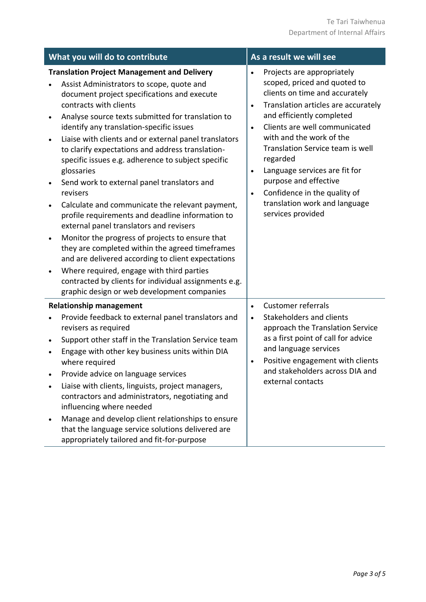| What you will do to contribute                   |                                                                                                                                                                                                                                                                                                                                                                                                                                                                                                                                                                                                                                                                                                                                                                                                                                                                                                                                                                                          | As a result we will see                                       |                                                                                                                                                                                                                                                                                                                                                                                                                               |  |  |
|--------------------------------------------------|------------------------------------------------------------------------------------------------------------------------------------------------------------------------------------------------------------------------------------------------------------------------------------------------------------------------------------------------------------------------------------------------------------------------------------------------------------------------------------------------------------------------------------------------------------------------------------------------------------------------------------------------------------------------------------------------------------------------------------------------------------------------------------------------------------------------------------------------------------------------------------------------------------------------------------------------------------------------------------------|---------------------------------------------------------------|-------------------------------------------------------------------------------------------------------------------------------------------------------------------------------------------------------------------------------------------------------------------------------------------------------------------------------------------------------------------------------------------------------------------------------|--|--|
| $\bullet$<br>$\bullet$<br>$\bullet$<br>$\bullet$ | <b>Translation Project Management and Delivery</b><br>Assist Administrators to scope, quote and<br>document project specifications and execute<br>contracts with clients<br>Analyse source texts submitted for translation to<br>identify any translation-specific issues<br>Liaise with clients and or external panel translators<br>to clarify expectations and address translation-<br>specific issues e.g. adherence to subject specific<br>glossaries<br>Send work to external panel translators and<br>revisers<br>Calculate and communicate the relevant payment,<br>profile requirements and deadline information to<br>external panel translators and revisers<br>Monitor the progress of projects to ensure that<br>they are completed within the agreed timeframes<br>and are delivered according to client expectations<br>Where required, engage with third parties<br>contracted by clients for individual assignments e.g.<br>graphic design or web development companies | $\bullet$<br>$\bullet$<br>$\bullet$<br>$\bullet$<br>$\bullet$ | Projects are appropriately<br>scoped, priced and quoted to<br>clients on time and accurately<br>Translation articles are accurately<br>and efficiently completed<br>Clients are well communicated<br>with and the work of the<br>Translation Service team is well<br>regarded<br>Language services are fit for<br>purpose and effective<br>Confidence in the quality of<br>translation work and language<br>services provided |  |  |
|                                                  | <b>Relationship management</b><br>Provide feedback to external panel translators and<br>revisers as required<br>Support other staff in the Translation Service team<br>Engage with other key business units within DIA<br>where required<br>Provide advice on language services<br>Liaise with clients, linguists, project managers,<br>contractors and administrators, negotiating and<br>influencing where needed<br>Manage and develop client relationships to ensure<br>that the language service solutions delivered are<br>appropriately tailored and fit-for-purpose                                                                                                                                                                                                                                                                                                                                                                                                              | $\bullet$<br>$\bullet$<br>$\bullet$                           | Customer referrals<br>Stakeholders and clients<br>approach the Translation Service<br>as a first point of call for advice<br>and language services<br>Positive engagement with clients<br>and stakeholders across DIA and<br>external contacts                                                                                                                                                                                |  |  |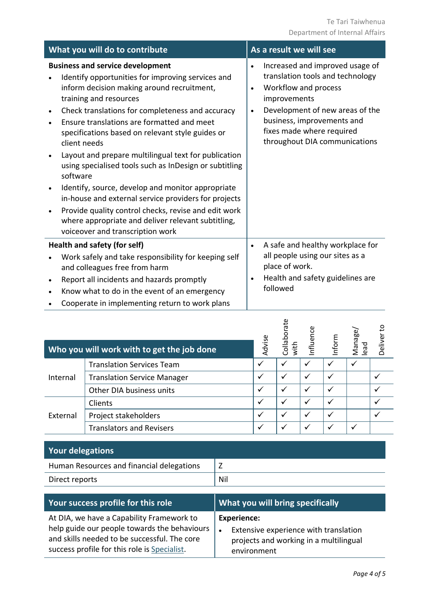| What you will do to contribute                                                                                                                                                                                                                                                                                                                                                                                                                                                                                                                                                                                                                                          | As a result we will see                                                                                                                                                                                                                                              |  |  |
|-------------------------------------------------------------------------------------------------------------------------------------------------------------------------------------------------------------------------------------------------------------------------------------------------------------------------------------------------------------------------------------------------------------------------------------------------------------------------------------------------------------------------------------------------------------------------------------------------------------------------------------------------------------------------|----------------------------------------------------------------------------------------------------------------------------------------------------------------------------------------------------------------------------------------------------------------------|--|--|
| <b>Business and service development</b><br>Identify opportunities for improving services and<br>inform decision making around recruitment,<br>training and resources<br>Check translations for completeness and accuracy<br>$\bullet$<br>Ensure translations are formatted and meet<br>specifications based on relevant style guides or<br>client needs<br>Layout and prepare multilingual text for publication<br>using specialised tools such as InDesign or subtitling<br>software<br>Identify, source, develop and monitor appropriate<br>$\bullet$<br>in-house and external service providers for projects<br>Provide quality control checks, revise and edit work | Increased and improved usage of<br>$\bullet$<br>translation tools and technology<br>Workflow and process<br>$\bullet$<br>improvements<br>Development of new areas of the<br>business, improvements and<br>fixes made where required<br>throughout DIA communications |  |  |
| where appropriate and deliver relevant subtitling,<br>voiceover and transcription work                                                                                                                                                                                                                                                                                                                                                                                                                                                                                                                                                                                  |                                                                                                                                                                                                                                                                      |  |  |
| Health and safety (for self)                                                                                                                                                                                                                                                                                                                                                                                                                                                                                                                                                                                                                                            | A safe and healthy workplace for<br>$\bullet$                                                                                                                                                                                                                        |  |  |
| Work safely and take responsibility for keeping self<br>and colleagues free from harm<br>Report all incidents and hazards promptly<br>$\bullet$                                                                                                                                                                                                                                                                                                                                                                                                                                                                                                                         | all people using our sites as a<br>place of work.<br>Health and safety guidelines are<br>followed                                                                                                                                                                    |  |  |
| Know what to do in the event of an emergency<br>$\bullet$<br>Cooperate in implementing return to work plans                                                                                                                                                                                                                                                                                                                                                                                                                                                                                                                                                             |                                                                                                                                                                                                                                                                      |  |  |

|          | Who you will work with to get the job done | Advise       | rate<br>Collabor<br>with | Influence | Inform | Manage/<br>lead | Deliver to |
|----------|--------------------------------------------|--------------|--------------------------|-----------|--------|-----------------|------------|
|          | <b>Translation Services Team</b>           |              |                          |           |        | ✓               |            |
| Internal | <b>Translation Service Manager</b>         |              |                          | ✓         |        |                 |            |
|          | Other DIA business units                   |              | $\checkmark$             | ✓         |        |                 |            |
| External | Clients                                    |              | $\checkmark$             | ✓         |        |                 |            |
|          | Project stakeholders                       |              |                          |           |        |                 |            |
|          | <b>Translators and Revisers</b>            | $\checkmark$ |                          |           |        |                 |            |

| <b>Your delegations</b>                   |     |
|-------------------------------------------|-----|
| Human Resources and financial delegations | L   |
| Direct reports                            | Nil |

| Your success profile for this role           | <b>What you will bring specifically</b> |
|----------------------------------------------|-----------------------------------------|
| At DIA, we have a Capability Framework to    | <b>Experience:</b>                      |
| help guide our people towards the behaviours | Extensive experience with translation   |
| and skills needed to be successful. The core | projects and working in a multilingual  |
| success profile for this role is Specialist. | environment                             |